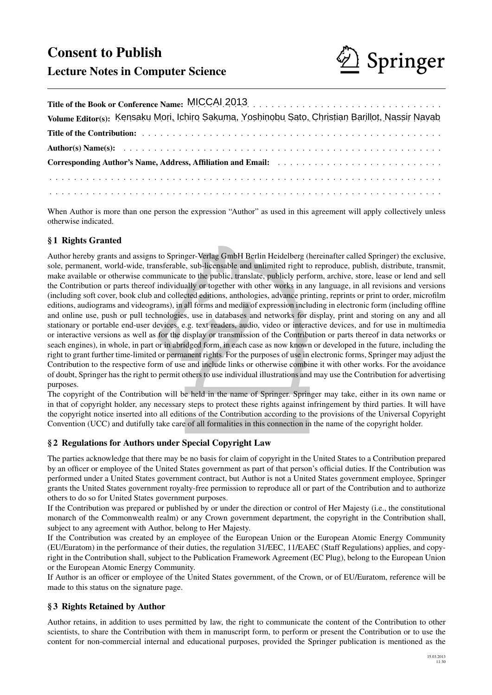# Consent to Publish



# Lecture Notes in Computer Science

| Title of the Book or Conference Name: MICCAI 2013.                                              |
|-------------------------------------------------------------------------------------------------|
| Volume Editor(s): Ķensaku Mori, Ichiro Sakuma, Yoshinobu Sato, Christian Barillot, Nassir Navab |
|                                                                                                 |
|                                                                                                 |
|                                                                                                 |
|                                                                                                 |
|                                                                                                 |

When Author is more than one person the expression "Author" as used in this agreement will apply collectively unless otherwise indicated.

# § 1 Rights Granted

example and unimidate the direction of the present of the present of the present and unimited right to to the public, translate, publicly perfally or together with other works in a cted editions, anthologies, advance prial Author hereby grants and assigns to Springer-Verlag GmbH Berlin Heidelberg (hereinafter called Springer) the exclusive, sole, permanent, world-wide, transferable, sub-licensable and unlimited right to reproduce, publish, distribute, transmit, make available or otherwise communicate to the public, translate, publicly perform, archive, store, lease or lend and sell the Contribution or parts thereof individually or together with other works in any language, in all revisions and versions (including soft cover, book club and collected editions, anthologies, advance printing, reprints or print to order, microfilm editions, audiograms and videograms), in all forms and media of expression including in electronic form (including offline and online use, push or pull technologies, use in databases and networks for display, print and storing on any and all stationary or portable end-user devices, e.g. text readers, audio, video or interactive devices, and for use in multimedia or interactive versions as well as for the display or transmission of the Contribution or parts thereof in data networks or seach engines), in whole, in part or in abridged form, in each case as now known or developed in the future, including the right to grant further time-limited or permanent rights. For the purposes of use in electronic forms, Springer may adjust the Contribution to the respective form of use and include links or otherwise combine it with other works. For the avoidance of doubt, Springer has the right to permit others to use individual illustrations and may use the Contribution for advertising purposes.

The copyright of the Contribution will be held in the name of Springer. Springer may take, either in its own name or in that of copyright holder, any necessary steps to protect these rights against infringement by third parties. It will have the copyright notice inserted into all editions of the Contribution according to the provisions of the Universal Copyright Convention (UCC) and dutifully take care of all formalities in this connection in the name of the copyright holder.

# § 2 Regulations for Authors under Special Copyright Law

The parties acknowledge that there may be no basis for claim of copyright in the United States to a Contribution prepared by an officer or employee of the United States government as part of that person's official duties. If the Contribution was performed under a United States government contract, but Author is not a United States government employee, Springer grants the United States government royalty-free permission to reproduce all or part of the Contribution and to authorize others to do so for United States government purposes.

If the Contribution was prepared or published by or under the direction or control of Her Majesty (i.e., the constitutional monarch of the Commonwealth realm) or any Crown government department, the copyright in the Contribution shall, subject to any agreement with Author, belong to Her Majesty.

If the Contribution was created by an employee of the European Union or the European Atomic Energy Community (EU/Euratom) in the performance of their duties, the regulation 31/EEC, 11/EAEC (Staff Regulations) applies, and copyright in the Contribution shall, subject to the Publication Framework Agreement (EC Plug), belong to the European Union or the European Atomic Energy Community.

If Author is an officer or employee of the United States government, of the Crown, or of EU/Euratom, reference will be made to this status on the signature page.

# § 3 Rights Retained by Author

Author retains, in addition to uses permitted by law, the right to communicate the content of the Contribution to other scientists, to share the Contribution with them in manuscript form, to perform or present the Contribution or to use the content for non-commercial internal and educational purposes, provided the Springer publication is mentioned as the